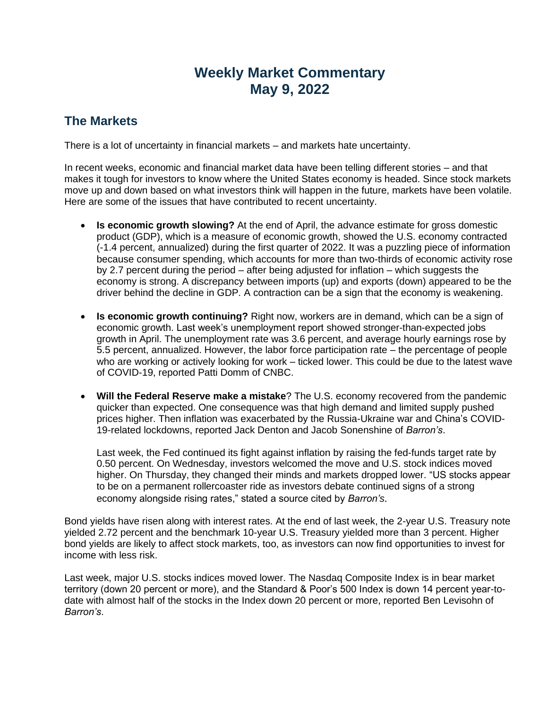## **Weekly Market Commentary May 9, 2022**

## **The Markets**

There is a lot of uncertainty in financial markets – and markets hate uncertainty.

In recent weeks, economic and financial market data have been telling different stories – and that makes it tough for investors to know where the United States economy is headed. Since stock markets move up and down based on what investors think will happen in the future, markets have been volatile. Here are some of the issues that have contributed to recent uncertainty.

- **Is economic growth slowing?** At the end of April, the advance estimate for gross domestic product (GDP), which is a measure of economic growth, showed the U.S. economy contracted (-1.4 percent, annualized) during the first quarter of 2022. It was a puzzling piece of information because consumer spending, which accounts for more than two-thirds of economic activity rose by 2.7 percent during the period – after being adjusted for inflation – which suggests the economy is strong. A discrepancy between imports (up) and exports (down) appeared to be the driver behind the decline in GDP. A contraction can be a sign that the economy is weakening.
- **Is economic growth continuing?** Right now, workers are in demand, which can be a sign of economic growth. Last week's unemployment report showed stronger-than-expected jobs growth in April. The unemployment rate was 3.6 percent, and average hourly earnings rose by 5.5 percent, annualized. However, the labor force participation rate – the percentage of people who are working or actively looking for work – ticked lower. This could be due to the latest wave of COVID-19, reported Patti Domm of CNBC.
- **Will the Federal Reserve make a mistake**? The U.S. economy recovered from the pandemic quicker than expected. One consequence was that high demand and limited supply pushed prices higher. Then inflation was exacerbated by the Russia-Ukraine war and China's COVID-19-related lockdowns, reported Jack Denton and Jacob Sonenshine of *Barron's*.

Last week, the Fed continued its fight against inflation by raising the fed-funds target rate by 0.50 percent. On Wednesday, investors welcomed the move and U.S. stock indices moved higher. On Thursday, they changed their minds and markets dropped lower. "US stocks appear to be on a permanent rollercoaster ride as investors debate continued signs of a strong economy alongside rising rates," stated a source cited by *Barron's*.

Bond yields have risen along with interest rates. At the end of last week, the 2-year U.S. Treasury note yielded 2.72 percent and the benchmark 10-year U.S. Treasury yielded more than 3 percent. Higher bond yields are likely to affect stock markets, too, as investors can now find opportunities to invest for income with less risk.

Last week, major U.S. stocks indices moved lower. The Nasdaq Composite Index is in bear market territory (down 20 percent or more), and the Standard & Poor's 500 Index is down 14 percent year-todate with almost half of the stocks in the Index down 20 percent or more, reported Ben Levisohn of *Barron's*.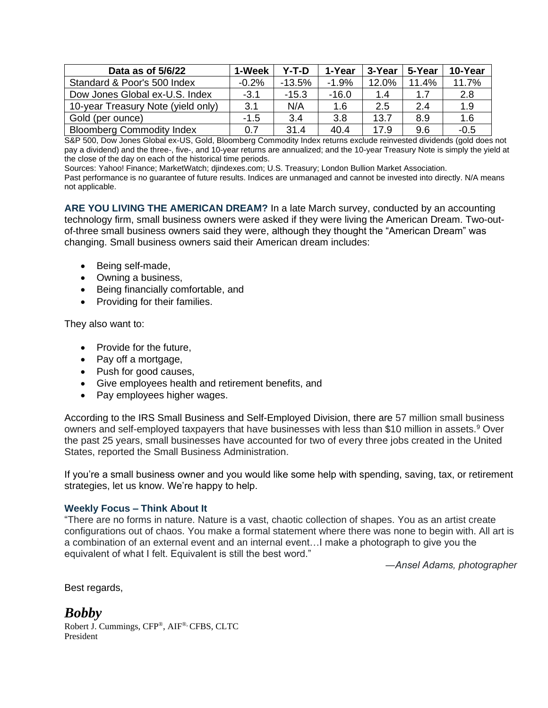| Data as of 5/6/22                  | 1-Week  | Y-T-D    | 1-Year  | 3-Year | 5-Year | 10-Year |
|------------------------------------|---------|----------|---------|--------|--------|---------|
| Standard & Poor's 500 Index        | $-0.2%$ | $-13.5%$ | $-1.9%$ | 12.0%  | 11.4%  | 11.7%   |
| Dow Jones Global ex-U.S. Index     | $-3.1$  | $-15.3$  | $-16.0$ | 1.4    | 1.7    | 2.8     |
| 10-year Treasury Note (yield only) | 3.1     | N/A      | 1.6     | 2.5    | 2.4    | 1.9     |
| Gold (per ounce)                   | $-1.5$  | 3.4      | 3.8     | 13.7   | 8.9    | 1.6     |
| <b>Bloomberg Commodity Index</b>   | 0.7     | 31.4     | 40.4    | 17.9   | 9.6    | $-0.5$  |

S&P 500, Dow Jones Global ex-US, Gold, Bloomberg Commodity Index returns exclude reinvested dividends (gold does not pay a dividend) and the three-, five-, and 10-year returns are annualized; and the 10-year Treasury Note is simply the yield at the close of the day on each of the historical time periods.

Sources: Yahoo! Finance; MarketWatch; djindexes.com; U.S. Treasury; London Bullion Market Association.

Past performance is no guarantee of future results. Indices are unmanaged and cannot be invested into directly. N/A means not applicable.

**ARE YOU LIVING THE AMERICAN DREAM?** In a late March survey, conducted by an accounting technology firm, small business owners were asked if they were living the American Dream. Two-outof-three small business owners said they were, although they thought the "American Dream" was changing. Small business owners said their American dream includes:

- Being self-made,
- Owning a business,
- Being financially comfortable, and
- Providing for their families.

They also want to:

- Provide for the future.
- Pay off a mortgage,
- Push for good causes,
- Give employees health and retirement benefits, and
- Pay employees higher wages.

According to the IRS Small Business and Self-Employed Division, there are 57 million small business owners and self-employed taxpayers that have businesses with less than \$10 million in assets.<sup>9</sup> Over the past 25 years, small businesses have accounted for two of every three jobs created in the United States, reported the Small Business Administration.

If you're a small business owner and you would like some help with spending, saving, tax, or retirement strategies, let us know. We're happy to help.

## **Weekly Focus – Think About It**

"There are no forms in nature. Nature is a vast, chaotic collection of shapes. You as an artist create configurations out of chaos. You make a formal statement where there was none to begin with. All art is a combination of an external event and an internal event…I make a photograph to give you the equivalent of what I felt. Equivalent is still the best word."

*―Ansel Adams, photographer*

Best regards,

*Bobby* Robert J. Cummings, CFP®, AIF ®, CFBS, CLTC President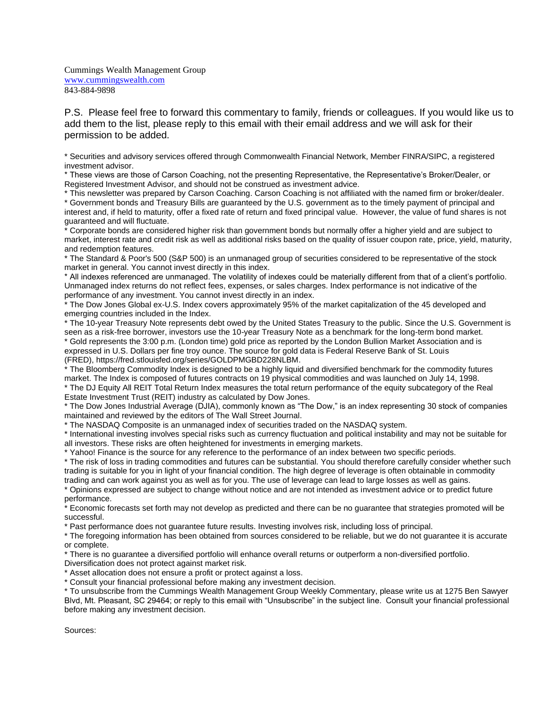Cummings Wealth Management Group [www.cummingswealth.com](http://www.cummingswealth.com/) 843-884-9898

P.S. Please feel free to forward this commentary to family, friends or colleagues. If you would like us to add them to the list, please reply to this email with their email address and we will ask for their permission to be added.

\* Securities and advisory services offered through Commonwealth Financial Network, Member FINRA/SIPC, a registered investment advisor.

\* These views are those of Carson Coaching, not the presenting Representative, the Representative's Broker/Dealer, or Registered Investment Advisor, and should not be construed as investment advice.

\* This newsletter was prepared by Carson Coaching. Carson Coaching is not affiliated with the named firm or broker/dealer. \* Government bonds and Treasury Bills are guaranteed by the U.S. government as to the timely payment of principal and interest and, if held to maturity, offer a fixed rate of return and fixed principal value. However, the value of fund shares is not guaranteed and will fluctuate.

\* Corporate bonds are considered higher risk than government bonds but normally offer a higher yield and are subject to market, interest rate and credit risk as well as additional risks based on the quality of issuer coupon rate, price, yield, maturity, and redemption features.

\* The Standard & Poor's 500 (S&P 500) is an unmanaged group of securities considered to be representative of the stock market in general. You cannot invest directly in this index.

\* All indexes referenced are unmanaged. The volatility of indexes could be materially different from that of a client's portfolio. Unmanaged index returns do not reflect fees, expenses, or sales charges. Index performance is not indicative of the performance of any investment. You cannot invest directly in an index.

\* The Dow Jones Global ex-U.S. Index covers approximately 95% of the market capitalization of the 45 developed and emerging countries included in the Index.

\* The 10-year Treasury Note represents debt owed by the United States Treasury to the public. Since the U.S. Government is seen as a risk-free borrower, investors use the 10-year Treasury Note as a benchmark for the long-term bond market. \* Gold represents the 3:00 p.m. (London time) gold price as reported by the London Bullion Market Association and is expressed in U.S. Dollars per fine troy ounce. The source for gold data is Federal Reserve Bank of St. Louis (FRED), https://fred.stlouisfed.org/series/GOLDPMGBD228NLBM.

\* The Bloomberg Commodity Index is designed to be a highly liquid and diversified benchmark for the commodity futures market. The Index is composed of futures contracts on 19 physical commodities and was launched on July 14, 1998.

\* The DJ Equity All REIT Total Return Index measures the total return performance of the equity subcategory of the Real Estate Investment Trust (REIT) industry as calculated by Dow Jones.

\* The Dow Jones Industrial Average (DJIA), commonly known as "The Dow," is an index representing 30 stock of companies maintained and reviewed by the editors of The Wall Street Journal.

\* The NASDAQ Composite is an unmanaged index of securities traded on the NASDAQ system.

\* International investing involves special risks such as currency fluctuation and political instability and may not be suitable for all investors. These risks are often heightened for investments in emerging markets.

\* Yahoo! Finance is the source for any reference to the performance of an index between two specific periods.

\* The risk of loss in trading commodities and futures can be substantial. You should therefore carefully consider whether such trading is suitable for you in light of your financial condition. The high degree of leverage is often obtainable in commodity trading and can work against you as well as for you. The use of leverage can lead to large losses as well as gains.

\* Opinions expressed are subject to change without notice and are not intended as investment advice or to predict future performance.

\* Economic forecasts set forth may not develop as predicted and there can be no guarantee that strategies promoted will be successful.

\* Past performance does not guarantee future results. Investing involves risk, including loss of principal.

\* The foregoing information has been obtained from sources considered to be reliable, but we do not guarantee it is accurate or complete.

\* There is no guarantee a diversified portfolio will enhance overall returns or outperform a non-diversified portfolio.

Diversification does not protect against market risk.

\* Asset allocation does not ensure a profit or protect against a loss.

\* Consult your financial professional before making any investment decision.

\* To unsubscribe from the Cummings Wealth Management Group Weekly Commentary, please write us at 1275 Ben Sawyer Blvd, Mt. Pleasant, SC 29464; or reply to this email with "Unsubscribe" in the subject line. Consult your financial professional before making any investment decision.

Sources: